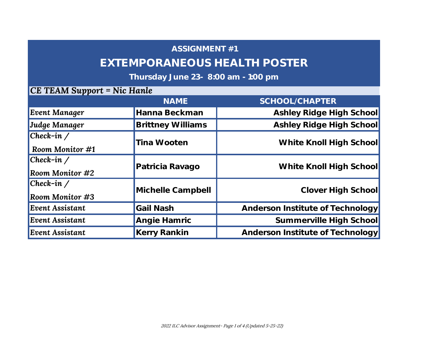## **EXTEMPORANEOUS HEALTH POSTER**

## **Thursday June 23- 8:00 am - 1:00 pm**

|                                              | <b>NAME</b>              | SCHOOL/CHAPTER                   |
|----------------------------------------------|--------------------------|----------------------------------|
| <b>Event Manager</b>                         | Hanna Beckman            | Ashley Ridge High School         |
| Judge Manager                                | <b>Brittney Williams</b> | Ashley Ridge High School         |
| $ Check-in \angle$<br><b>Room Monitor #1</b> | Tina Wooten              | White Knoll High School          |
| $ Check-in \angle$<br><b>Room Monitor #2</b> | Patricia Ravago          | White Knoll High School          |
| $ Check-in \angle$<br><b>Room Monitor #3</b> | Michelle Campbell        | Clover High School               |
| <b>Event Assistant</b>                       | Gail Nash                | Anderson Institute of Technology |
| <b>Event Assistant</b>                       | Angie Hamric             | Summerville High School          |
| <b>Event Assistant</b>                       | Kerry Rankin             | Anderson Institute of Technology |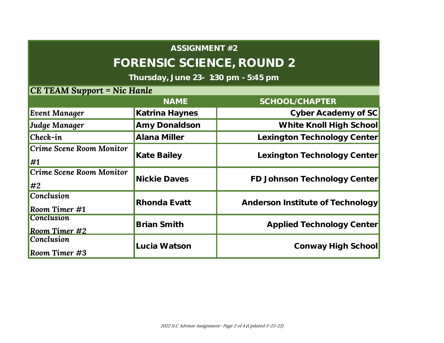# **FORENSIC SCIENCE, ROUND 2**

**Thursday, June 23- 1:30 pm - 5:45 pm**

|                                         | <b>NAME</b>         | SCHOOL/CHAPTER                   |
|-----------------------------------------|---------------------|----------------------------------|
| <b>Event Manager</b>                    | Katrina Haynes      | Cyber Academy of SC              |
| Judge Manager                           | Amy Donaldson       | White Knoll High School          |
| $ Check-in $                            | Alana Miller        | Lexington Technology Center      |
| Crime Scene Room Monitor<br>$\sharp$    | Kate Bailey         | Lexington Technology Center      |
| Crime Scene Room Monitor<br>$\sharp$ #2 | <b>Nickie Daves</b> | FD Johnson Technology Center     |
| <b>Conclusion</b><br>Room Timer #1      | Rhonda Evatt        | Anderson Institute of Technology |
| <b>Conclusion</b><br>Room Timer $#2$    | <b>Brian Smith</b>  | Applied Technology Center        |
| <b>Conclusion</b><br>Room Timer #3      | Lucia Watson        | Conway High School               |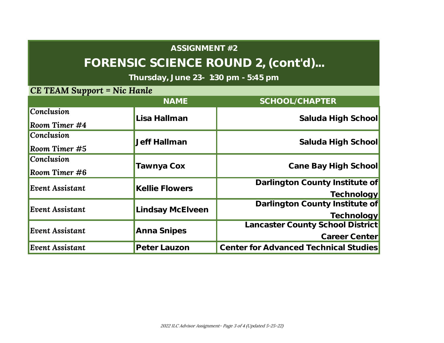# **FORENSIC SCIENCE ROUND 2, (cont'd)...**

**Thursday, June 23- 1:30 pm - 5:45 pm** 

|                        | <b>NAME</b>           | SCHOOL/CHAPTER                        |
|------------------------|-----------------------|---------------------------------------|
| <b>Conclusion</b>      | Lisa Hallman          | Saluda High School                    |
| Room Timer $#4$        |                       |                                       |
| <b>Conclusion</b>      | <b>Jeff Hallman</b>   | Saluda High School                    |
| Room Timer $#5$        |                       |                                       |
| <b>Conclusion</b>      | Tawnya Cox            | Cane Bay High School                  |
| Room Timer $\#6$       |                       |                                       |
| <b>Event Assistant</b> | <b>Kellie Flowers</b> | Darlington County Institute of        |
|                        |                       | Technology                            |
| <b>Event Assistant</b> | Lindsay McElveen      | Darlington County Institute of        |
|                        |                       | Technology                            |
| <b>Event Assistant</b> | Anna Snipes           | Lancaster County School District      |
|                        |                       | Career Center                         |
| <b>Event Assistant</b> | Peter Lauzon          | Center for Advanced Technical Studies |